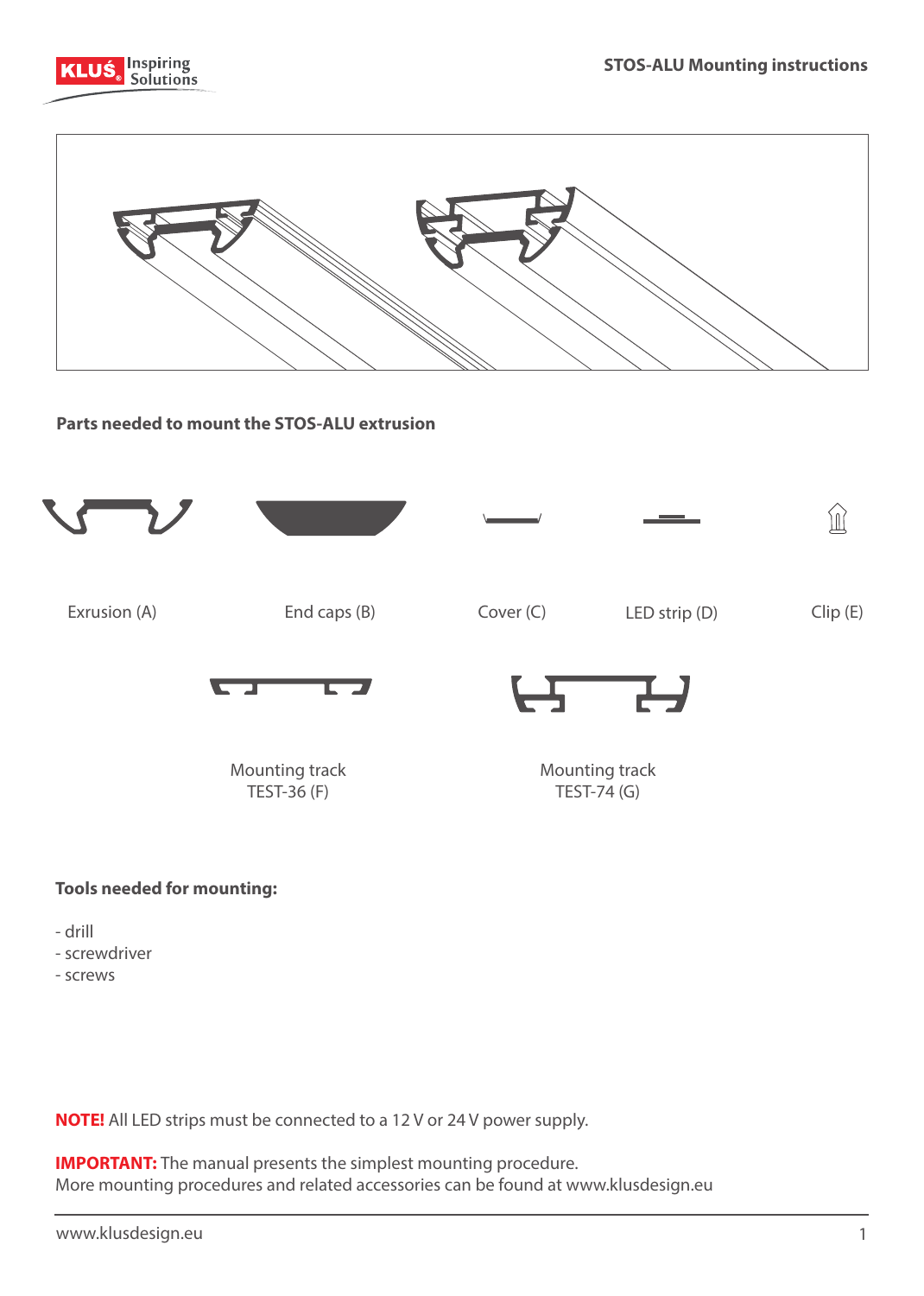



**Parts needed to mount the STOS-ALU extrusion**



## **Tools needed for mounting:**

- drill
- screwdriver
- screws

**NOTE!** All LED strips must be connected to a 12 V or 24 V power supply.

**IMPORTANT:** The manual presents the simplest mounting procedure. More mounting procedures and related accessories can be found at www.klusdesign.eu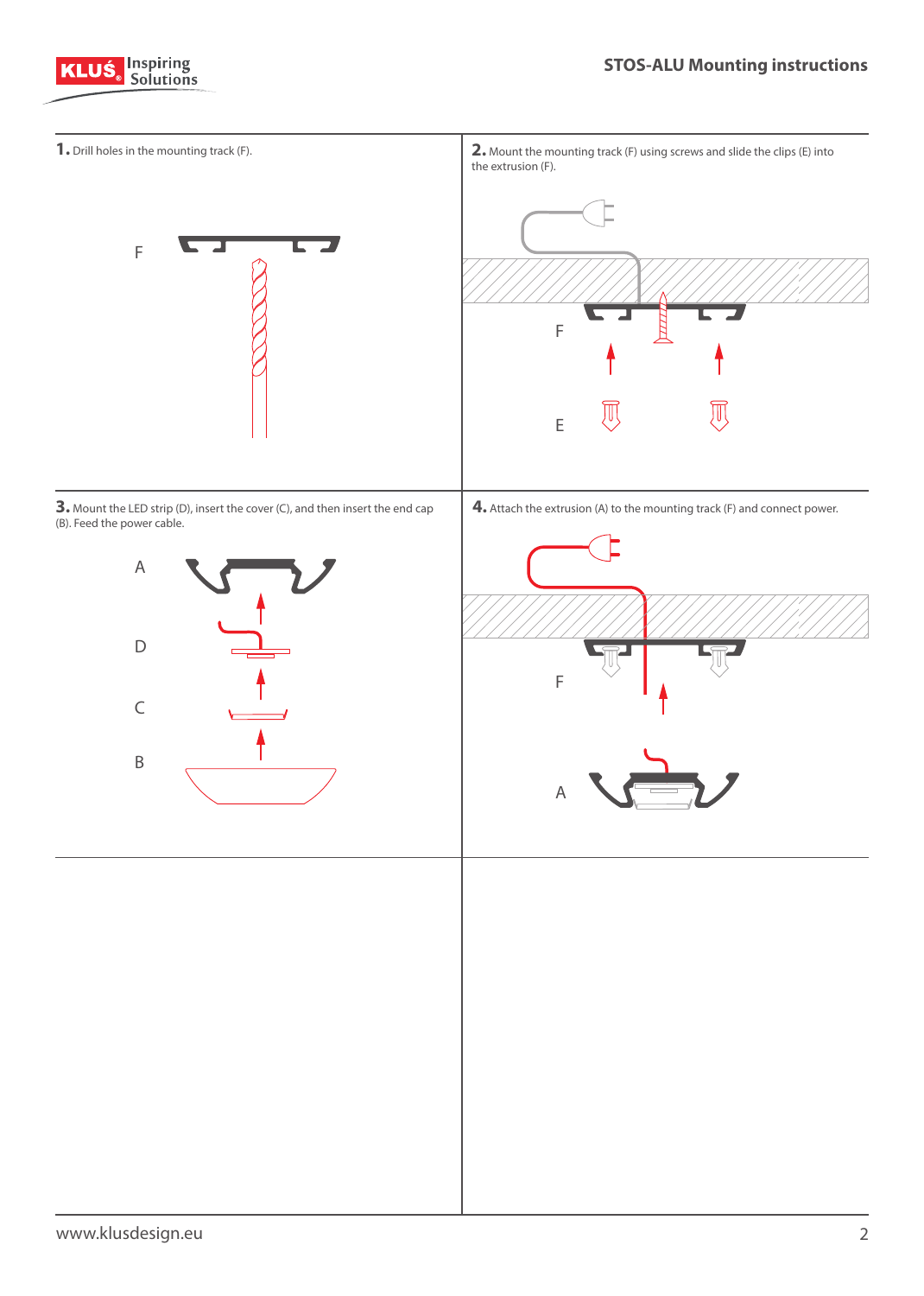

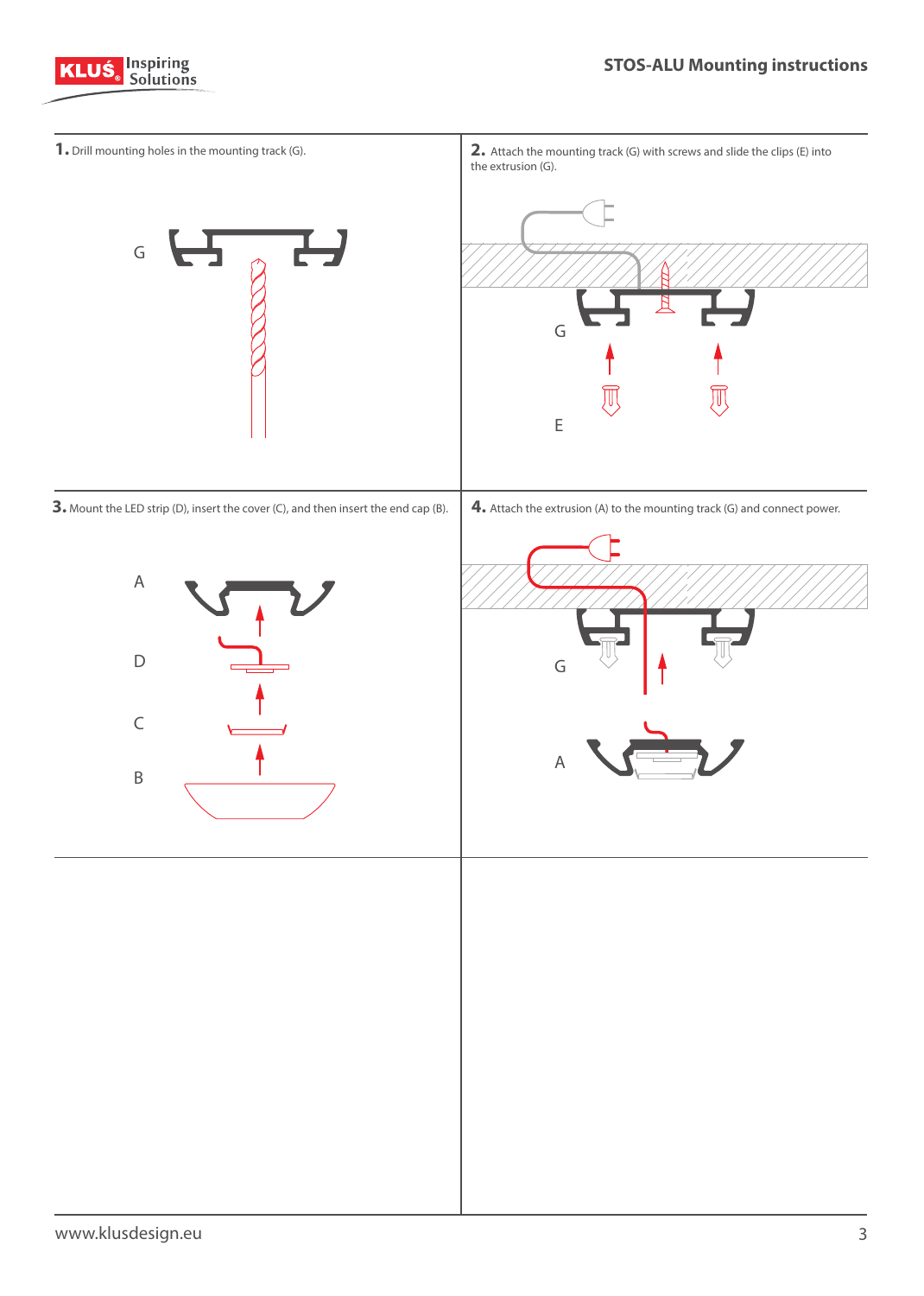